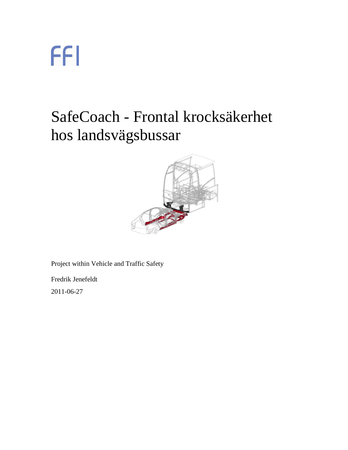### SafeCoach - Frontal krocksäkerhet hos landsvägsbussar



Project within Vehicle and Traffic Safety

Fredrik Jenefeldt

2011-06-27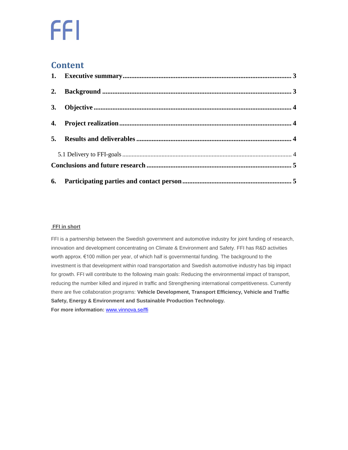#### **Content**

| 3. |  |  |
|----|--|--|
|    |  |  |
|    |  |  |

#### **FFI in short**

<span id="page-1-0"></span>FFI is a partnership between the Swedish government and automotive industry for joint funding of research, innovation and development concentrating on Climate & Environment and Safety. FFI has R&D activities worth approx. €100 million per year, of which half is governmental funding. The background to the investment is that development within road transportation and Swedish automotive industry has big impact for growth. FFI will contribute to the following main goals: Reducing the environmental impact of transport, reducing the number killed and injured in traffic and Strengthening international competitiveness. Currently there are five collaboration programs: **Vehicle Development, Transport Efficiency, Vehicle and Traffic Safety, Energy & Environment and Sustainable Production Technology. For more information:** [www.vinnova.se/ffi](http://www.vinnova.se/ffi)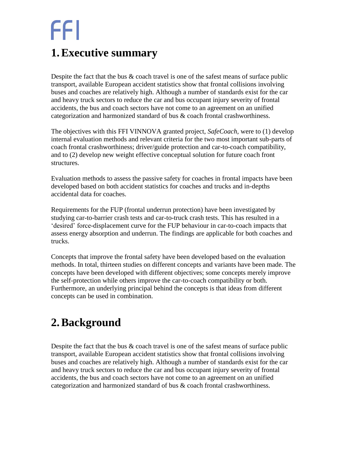#### **1.Executive summary**

Despite the fact that the bus & coach travel is one of the safest means of surface public transport, available European accident statistics show that frontal collisions involving buses and coaches are relatively high. Although a number of standards exist for the car and heavy truck sectors to reduce the car and bus occupant injury severity of frontal accidents, the bus and coach sectors have not come to an agreement on an unified categorization and harmonized standard of bus & coach frontal crashworthiness.

The objectives with this FFI VINNOVA granted project, *SafeCoach,* were to (1) develop internal evaluation methods and relevant criteria for the two most important sub-parts of coach frontal crashworthiness; driver/guide protection and car-to-coach compatibility, and to (2) develop new weight effective conceptual solution for future coach front structures.

Evaluation methods to assess the passive safety for coaches in frontal impacts have been developed based on both accident statistics for coaches and trucks and in-depths accidental data for coaches.

Requirements for the FUP (frontal underrun protection) have been investigated by studying car-to-barrier crash tests and car-to-truck crash tests. This has resulted in a 'desired' force-displacement curve for the FUP behaviour in car-to-coach impacts that assess energy absorption and underrun. The findings are applicable for both coaches and trucks.

Concepts that improve the frontal safety have been developed based on the evaluation methods. In total, thirteen studies on different concepts and variants have been made. The concepts have been developed with different objectives; some concepts merely improve the self-protection while others improve the car-to-coach compatibility or both. Furthermore, an underlying principal behind the concepts is that ideas from different concepts can be used in combination.

#### <span id="page-2-0"></span>**2.Background**

Despite the fact that the bus & coach travel is one of the safest means of surface public transport, available European accident statistics show that frontal collisions involving buses and coaches are relatively high. Although a number of standards exist for the car and heavy truck sectors to reduce the car and bus occupant injury severity of frontal accidents, the bus and coach sectors have not come to an agreement on an unified categorization and harmonized standard of bus & coach frontal crashworthiness.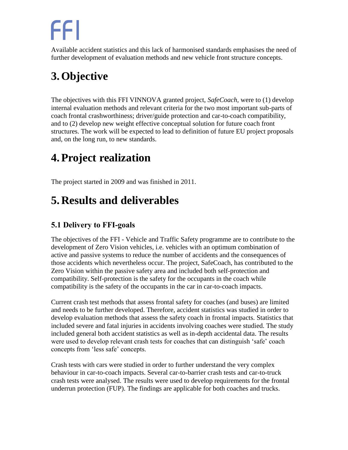Available accident statistics and this lack of harmonised standards emphasises the need of further development of evaluation methods and new vehicle front structure concepts.

### <span id="page-3-0"></span>**3.Objective**

The objectives with this FFI VINNOVA granted project, *SafeCoach,* were to (1) develop internal evaluation methods and relevant criteria for the two most important sub-parts of coach frontal crashworthiness; driver/guide protection and car-to-coach compatibility, and to (2) develop new weight effective conceptual solution for future coach front structures. The work will be expected to lead to definition of future EU project proposals and, on the long run, to new standards.

### <span id="page-3-1"></span>**4.Project realization**

The project started in 2009 and was finished in 2011.

### <span id="page-3-2"></span>**5. Results and deliverables**

#### <span id="page-3-3"></span>**5.1 Delivery to FFI-goals**

The objectives of the FFI - Vehicle and Traffic Safety programme are to contribute to the development of Zero Vision vehicles, i.e. vehicles with an optimum combination of active and passive systems to reduce the number of accidents and the consequences of those accidents which nevertheless occur. The project, SafeCoach, has contributed to the Zero Vision within the passive safety area and included both self-protection and compatibility. Self-protection is the safety for the occupants in the coach while compatibility is the safety of the occupants in the car in car-to-coach impacts.

Current crash test methods that assess frontal safety for coaches (and buses) are limited and needs to be further developed. Therefore, accident statistics was studied in order to develop evaluation methods that assess the safety coach in frontal impacts. Statistics that included severe and fatal injuries in accidents involving coaches were studied. The study included general both accident statistics as well as in-depth accidental data. The results were used to develop relevant crash tests for coaches that can distinguish 'safe' coach concepts from 'less safe' concepts.

Crash tests with cars were studied in order to further understand the very complex behaviour in car-to-coach impacts. Several car-to-barrier crash tests and car-to-truck crash tests were analysed. The results were used to develop requirements for the frontal underrun protection (FUP). The findings are applicable for both coaches and trucks.